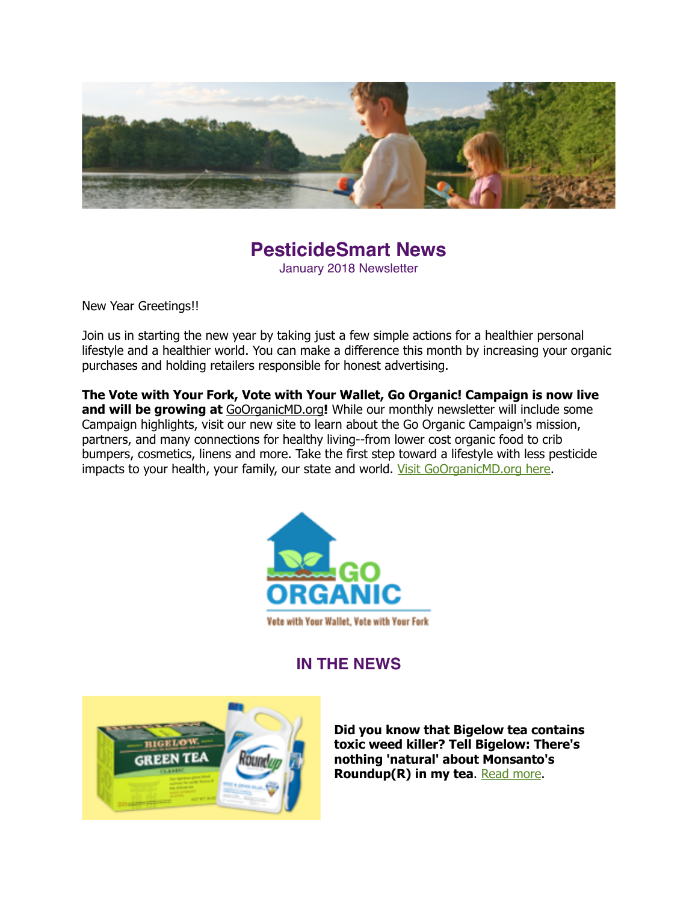

#### **PesticideSmart News** January 2018 Newsletter

New Year Greetings!!

Join us in starting the new year by taking just a few simple actions for a healthier personal lifestyle and a healthier world. You can make a difference this month by increasing your organic purchases and holding retailers responsible for honest advertising.

**The Vote with Your Fork, Vote with Your Wallet, Go Organic! Campaign is now live**  and will be growing at [GoOrganicMD.org](http://GoOrganicMD.org)! While our monthly newsletter will include some Campaign highlights, visit our new site to learn about the Go Organic Campaign's mission, partners, and many connections for healthy living--from lower cost organic food to crib bumpers, cosmetics, linens and more. Take the first step toward a lifestyle with less pesticide impacts to your health, your family, our state and world. [Visit GoOrganicMD.org here](http://goorganicmd.org/).



**IN THE NEWS**



**Did you know that Bigelow tea contains toxic weed killer? Tell Bigelow: There's nothing 'natural' about Monsanto's Roundup(R) in my tea. [Read more.](https://action.organicconsumers.org/o/50865/p/dia/action4/common/public/?action_KEY=21348)**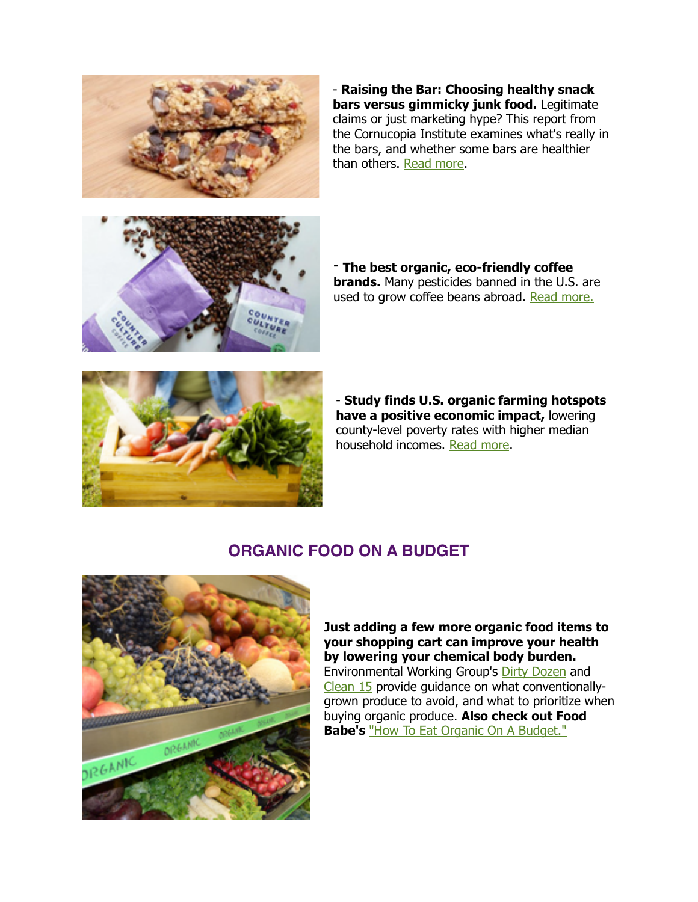

- **Raising the Bar: Choosing healthy snack bars versus gimmicky junk food.** Legitimate claims or just marketing hype? This report from the Cornucopia Institute examines what's really in the bars, and whether some bars are healthier than others. [Read more](https://www.cornucopia.org/wp-content/uploads/2017/12/Bars-Report-web.pdf).



- **The best organic, eco-friendly coffee brands.** Many pesticides banned in the U.S. are used to grow coffee beans abroad. [Read more.](https://www.rodalesorganiclife.com/food/best-organic-coffees?utm_campaign=OrganicLife&utm_source=rodalesorganiclife.com&utm_medium=newsletter&smartcode=YN_0005409186_0001649480&sha1hashlower=78f458218bd26cd0a0c9843f2703bff3c35dd3fd&md5hash=e41dc230251a478412b9b0aaf5616c09)



- **Study finds U.S. organic farming hotspots have a positive economic impact,** lowering county-level poverty rates with higher median household incomes. [Read more.](https://papers.ssrn.com/sol3/papers.cfm?abstract_id=2765969)

#### **ORGANIC FOOD ON A BUDGET**



**Just adding a few more organic food items to your shopping cart can improve your health by lowering your chemical body burden.**  Environmental Working Group's [Dirty Dozen](https://www.ewg.org/foodnews/dirty_dozen_list.php#.WjxJbyPMx2Y) and [Clean 15](https://www.ewg.org/foodnews/clean_fifteen_list.php#.WjxJqSPMx2Y) provide guidance on what conventionallygrown produce to avoid, and what to prioritize when buying organic produce. **Also check out Food Babe's** ["How To Eat Organic On A Budget."](https://foodbabe.com/2013/05/20/how-to-eat-organic-on-a-budget/)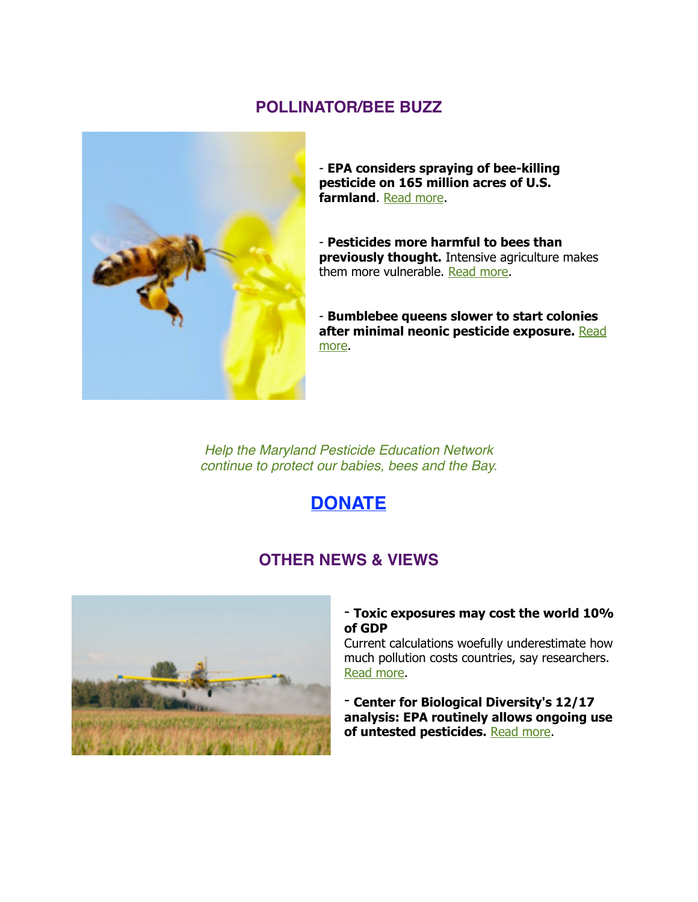#### **POLLINATOR/BEE BUZZ**



- **EPA considers spraying of bee-killing pesticide on 165 million acres of U.S. farmland**. [Read more](http://bit.ly/2BqVFBt).

- **Pesticides more harmful to bees than previously thought.** Intensive agriculture makes them more vulnerable. [Read more.](https://ind.pn/2BP0XGt)

- **Bumblebee queens slower to start colonies [after minimal neonic pesticide exposure.](http://bit.ly/2z6HT0M)** Read more.

*Help the Maryland Pesticide Education Network continue to protect our babies, bees and the Bay.*

### **[DONATE](https://donatenow.networkforgood.org/MDSmartonPesticides)**

#### **OTHER NEWS & VIEWS**



#### - **Toxic exposures may cost the world 10% of GDP**

Current calculations woefully underestimate how much pollution costs countries, say researchers. [Read more.](http://www.ehn.org/toxics-cost-10-percent-of-world-gdp-2514804991.html)

- **Center for Biological Diversity's 12/17 analysis: EPA routinely allows ongoing use of untested pesticides.** [Read more](http://biologicaldiversity.org/news/press_releases/2017/analysis-untested-pesticides-12-11-2017.php).